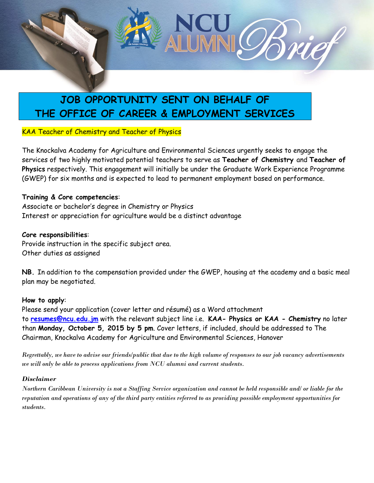

# **JOB OPPORTUNITY SENT ON BEHALF OF THE OFFICE OF CAREER & EMPLOYMENT SERVICES**

## KAA Teacher of Chemistry and Teacher of Physics

The Knockalva Academy for Agriculture and Environmental Sciences urgently seeks to engage the services of two highly motivated potential teachers to serve as **Teacher of Chemistry** and **Teacher of Physics** respectively. This engagement will initially be under the Graduate Work Experience Programme (GWEP) for six months and is expected to lead to permanent employment based on performance.

### **Training & Core competencies**:

Associate or bachelor's degree in Chemistry or Physics Interest or appreciation for agriculture would be a distinct advantage

### **Core responsibilities**:

Provide instruction in the specific subject area. Other duties as assigned

**NB.** In addition to the compensation provided under the GWEP, housing at the academy and a basic meal plan may be negotiated.

### **How to apply**:

Please send your application (cover letter and résumé) as a Word attachment to **[resumes@ncu.edu.jm](mailto:resumes@ncu.edu.jm)** with the relevant subject line i.e. **KAA- Physics or KAA - Chemistry** no later than **Monday, October 5, 2015 by 5 pm**. Cover letters, if included, should be addressed to The Chairman, Knockalva Academy for Agriculture and Environmental Sciences, Hanover

*Regrettably, we have to advise our friends/public that due to the high volume of responses to our job vacancy advertisements we will only be able to process applications from NCU alumni and current students.*

### *Disclaimer*

*Northern Caribbean University is not a Staffing Service organization and cannot be held responsible and/ or liable for the reputation and operations of any of the third party entities referred to as providing possible employment opportunities for students.*